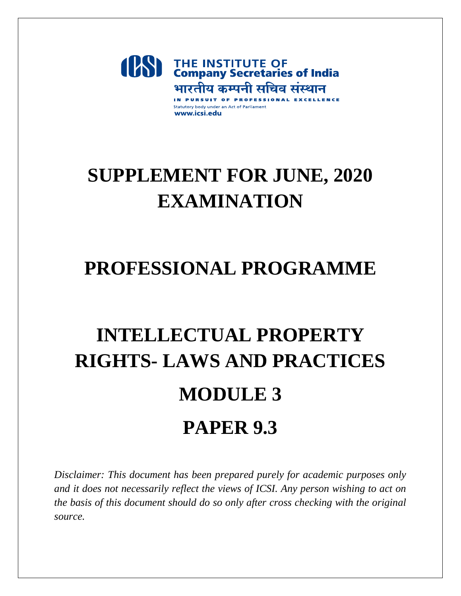

## **SUPPLEMENT FOR JUNE, 2020 EXAMINATION**

### **PROFESSIONAL PROGRAMME**

# **INTELLECTUAL PROPERTY RIGHTS- LAWS AND PRACTICES MODULE 3 PAPER 9.3**

*Disclaimer: This document has been prepared purely for academic purposes only and it does not necessarily reflect the views of ICSI. Any person wishing to act on the basis of this document should do so only after cross checking with the original source.*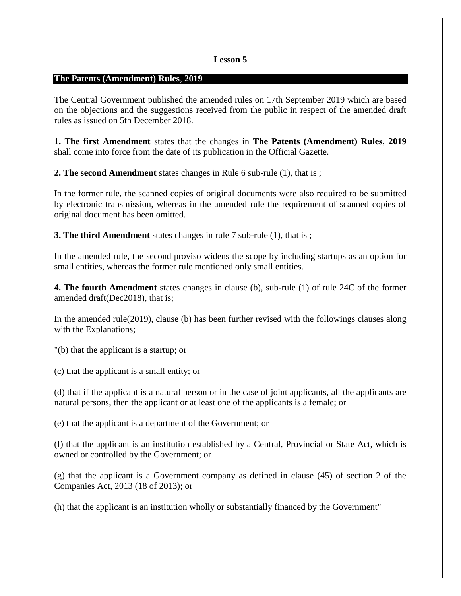#### **Lesson 5**

### **The Patents (Amendment) Rules**, **2019**

The Central Government published the amended rules on 17th September 2019 which are based on the objections and the suggestions received from the public in respect of the amended draft rules as issued on 5th December 2018.

**1. The first Amendment** states that the changes in **The Patents (Amendment) Rules**, **2019** shall come into force from the date of its publication in the Official Gazette.

**2. The second Amendment** states changes in Rule 6 sub-rule (1), that is ;

In the former rule, the scanned copies of original documents were also required to be submitted by electronic transmission, whereas in the amended rule the requirement of scanned copies of original document has been omitted.

**3. The third Amendment** states changes in rule 7 sub-rule (1), that is ;

In the amended rule, the second proviso widens the scope by including startups as an option for small entities, whereas the former rule mentioned only small entities.

**4. The fourth Amendment** states changes in clause (b), sub-rule (1) of rule 24C of the former amended draft(Dec2018), that is;

In the amended rule(2019), clause (b) has been further revised with the followings clauses along with the Explanations;

"(b) that the applicant is a startup; or

(c) that the applicant is a small entity; or

(d) that if the applicant is a natural person or in the case of joint applicants, all the applicants are natural persons, then the applicant or at least one of the applicants is a female; or

(e) that the applicant is a department of the Government; or

(f) that the applicant is an institution established by a Central, Provincial or State Act, which is owned or controlled by the Government; or

(g) that the applicant is a Government company as defined in clause (45) of section 2 of the Companies Act, 2013 (18 of 2013); or

(h) that the applicant is an institution wholly or substantially financed by the Government"